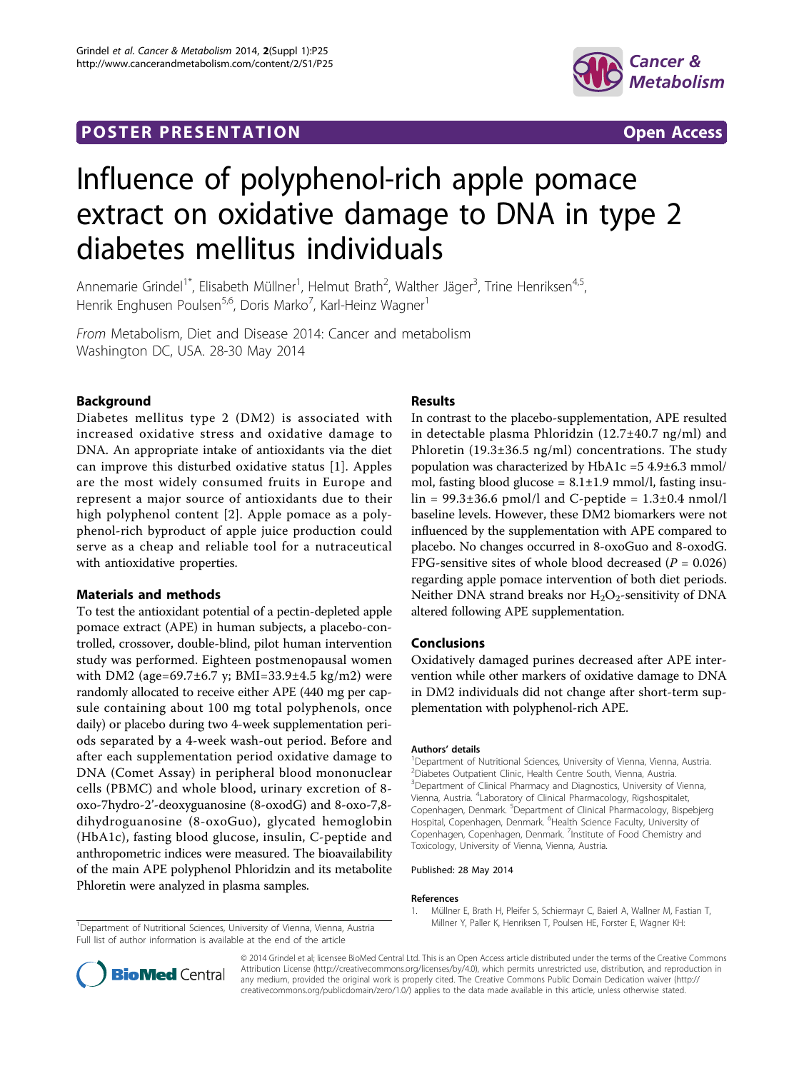## **POSTER PRESENTATION CONSUMING THE SECOND CONSUMING THE SECOND CONSUMING THE SECOND CONSUMING THE SECOND CONSUMING THE SECOND CONSUMING THE SECOND CONSUMING THE SECOND CONSUMING THE SECOND CONSUMING THE SECOND CONSUMING**



# Influence of polyphenol-rich apple pomace extract on oxidative damage to DNA in type 2 diabetes mellitus individuals

Annemarie Grindel<sup>1\*</sup>, Elisabeth Müllner<sup>1</sup>, Helmut Brath<sup>2</sup>, Walther Jäger<sup>3</sup>, Trine Henriksen<sup>4,5</sup>, Henrik Enghusen Poulsen<sup>5,6</sup>, Doris Marko<sup>7</sup>, Karl-Heinz Wagner<sup>1</sup>

From Metabolism, Diet and Disease 2014: Cancer and metabolism Washington DC, USA. 28-30 May 2014

## Background

Diabetes mellitus type 2 (DM2) is associated with increased oxidative stress and oxidative damage to DNA. An appropriate intake of antioxidants via the diet can improve this disturbed oxidative status [1]. Apples are the most widely consumed fruits in Europe and represent a major source of antioxidants due to their high polyphenol content [[2](#page-1-0)]. Apple pomace as a polyphenol-rich byproduct of apple juice production could serve as a cheap and reliable tool for a nutraceutical with antioxidative properties.

#### Materials and methods

To test the antioxidant potential of a pectin-depleted apple pomace extract (APE) in human subjects, a placebo-controlled, crossover, double-blind, pilot human intervention study was performed. Eighteen postmenopausal women with DM2 (age=69.7±6.7 y; BMI=33.9±4.5 kg/m2) were randomly allocated to receive either APE (440 mg per capsule containing about 100 mg total polyphenols, once daily) or placebo during two 4-week supplementation periods separated by a 4-week wash-out period. Before and after each supplementation period oxidative damage to DNA (Comet Assay) in peripheral blood mononuclear cells (PBMC) and whole blood, urinary excretion of 8 oxo-7hydro-2'-deoxyguanosine (8-oxodG) and 8-oxo-7,8 dihydroguanosine (8-oxoGuo), glycated hemoglobin (HbA1c), fasting blood glucose, insulin, C-peptide and anthropometric indices were measured. The bioavailability of the main APE polyphenol Phloridzin and its metabolite Phloretin were analyzed in plasma samples.

## **Results**

In contrast to the placebo-supplementation, APE resulted in detectable plasma Phloridzin (12.7±40.7 ng/ml) and Phloretin  $(19.3\pm36.5 \text{ ng/ml})$  concentrations. The study population was characterized by HbA1c =5 4.9±6.3 mmol/ mol, fasting blood glucose =  $8.1 \pm 1.9$  mmol/l, fasting insu- $\text{lin} = 99.3 \pm 36.6 \text{ pmol/l}$  and C-peptide =  $1.3 \pm 0.4 \text{ mmol/l}$ baseline levels. However, these DM2 biomarkers were not influenced by the supplementation with APE compared to placebo. No changes occurred in 8-oxoGuo and 8-oxodG. FPG-sensitive sites of whole blood decreased ( $P = 0.026$ ) regarding apple pomace intervention of both diet periods. Neither DNA strand breaks nor  $H_2O_2$ -sensitivity of DNA altered following APE supplementation.

## Conclusions

Oxidatively damaged purines decreased after APE intervention while other markers of oxidative damage to DNA in DM2 individuals did not change after short-term supplementation with polyphenol-rich APE.

#### Authors' details <sup>1</sup>

<sup>1</sup>Department of Nutritional Sciences, University of Vienna, Vienna, Austria. 2 Diabetes Outpatient Clinic, Health Centre South, Vienna, Austria. <sup>3</sup> Department of Clinical Pharmacy and Diagnostics, University of Vienna, Vienna, Austria. <sup>4</sup> Laboratory of Clinical Pharmacology, Rigshospitalet, Copenhagen, Denmark. <sup>5</sup>Department of Clinical Pharmacology, Bispebjerg Hospital, Copenhagen, Denmark. <sup>6</sup>Health Science Faculty, University of Copenhagen, Copenhagen, Denmark. <sup>7</sup>Institute of Food Chemistry and Toxicology, University of Vienna, Vienna, Austria.

#### Published: 28 May 2014

#### References

Full list of author information is available at the end of the article





© 2014 Grindel et al; licensee BioMed Central Ltd. This is an Open Access article distributed under the terms of the Creative Commons Attribution License [\(http://creativecommons.org/licenses/by/4.0](http://creativecommons.org/licenses/by/4.0)), which permits unrestricted use, distribution, and reproduction in any medium, provided the original work is properly cited. The Creative Commons Public Domain Dedication waiver [\(http://](http://creativecommons.org/publicdomain/zero/1.0/) [creativecommons.org/publicdomain/zero/1.0/](http://creativecommons.org/publicdomain/zero/1.0/)) applies to the data made available in this article, unless otherwise stated.